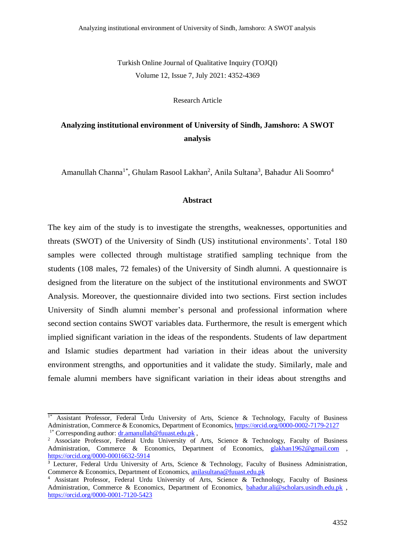Turkish Online Journal of Qualitative Inquiry (TOJQI) Volume 12, Issue 7, July 2021: 4352-4369

Research Article

# **Analyzing institutional environment of University of Sindh, Jamshoro: A SWOT analysis**

Amanullah Channa<sup>1\*</sup>, Ghulam Rasool Lakhan<sup>2</sup>, Anila Sultana<sup>3</sup>, Bahadur Ali Soomro<sup>4</sup>

### **Abstract**

The key aim of the study is to investigate the strengths, weaknesses, opportunities and threats (SWOT) of the University of Sindh (US) institutional environments'. Total 180 samples were collected through multistage stratified sampling technique from the students (108 males, 72 females) of the University of Sindh alumni. A questionnaire is designed from the literature on the subject of the institutional environments and SWOT Analysis. Moreover, the questionnaire divided into two sections. First section includes University of Sindh alumni member's personal and professional information where second section contains SWOT variables data. Furthermore, the result is emergent which implied significant variation in the ideas of the respondents. Students of law department and Islamic studies department had variation in their ideas about the university environment strengths, and opportunities and it validate the study. Similarly, male and female alumni members have significant variation in their ideas about strengths and

 $1^*$  Assistant Professor, Federal Urdu University of Arts, Science & Technology, Faculty of Business Administration, Commerce & Economics, Department of Economics, <https://orcid.org/0000-0002-7179-2127> <sup>1\*</sup> Corresponding author:  $dr$ .amanullah@fuuast.edu.pk,

<sup>&</sup>lt;sup>2</sup> Associate Professor, Federal Urdu University of Arts, Science & Technology, Faculty of Business Administration, Commerce & Economics, Department of Economics, [glakhan1962@gmail.com](mailto:glakhan1962@gmail.com) , <https://orcid.org/0000-00016632-5914>

<sup>&</sup>lt;sup>3</sup> Lecturer, Federal Urdu University of Arts, Science & Technology, Faculty of Business Administration, Commerce & Economics, Department of Economics, [anilasultana@fuuast.edu.pk](mailto:anilasultana@fuuast.edu.pk)

<sup>4</sup> Assistant Professor, Federal Urdu University of Arts, Science & Technology, Faculty of Business Administration, Commerce & Economics, Department of Economics, [bahadur.ali@scholars.usindh.edu.pk](mailto:bahadur.ali@scholars.usindh.edu.pk) , <https://orcid.org/0000-0001-7120-5423>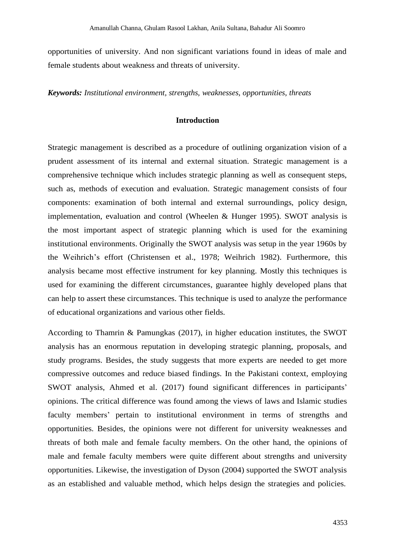opportunities of university. And non significant variations found in ideas of male and female students about weakness and threats of university.

*Keywords: Institutional environment, strengths, weaknesses, opportunities, threats*

# **Introduction**

Strategic management is described as a procedure of outlining organization vision of a prudent assessment of its internal and external situation. Strategic management is a comprehensive technique which includes strategic planning as well as consequent steps, such as, methods of execution and evaluation. Strategic management consists of four components: examination of both internal and external surroundings, policy design, implementation, evaluation and control (Wheelen & Hunger 1995). SWOT analysis is the most important aspect of strategic planning which is used for the examining institutional environments. Originally the SWOT analysis was setup in the year 1960s by the Weihrich's effort (Christensen et al., 1978; Weihrich 1982). Furthermore, this analysis became most effective instrument for key planning. Mostly this techniques is used for examining the different circumstances, guarantee highly developed plans that can help to assert these circumstances. This technique is used to analyze the performance of educational organizations and various other fields.

According to Thamrin & Pamungkas (2017), in higher education institutes, the SWOT analysis has an enormous reputation in developing strategic planning, proposals, and study programs. Besides, the study suggests that more experts are needed to get more compressive outcomes and reduce biased findings. In the Pakistani context, employing SWOT analysis, Ahmed et al. (2017) found significant differences in participants' opinions. The critical difference was found among the views of laws and Islamic studies faculty members' pertain to institutional environment in terms of strengths and opportunities. Besides, the opinions were not different for university weaknesses and threats of both male and female faculty members. On the other hand, the opinions of male and female faculty members were quite different about strengths and university opportunities. Likewise, the investigation of Dyson (2004) supported the SWOT analysis as an established and valuable method, which helps design the strategies and policies.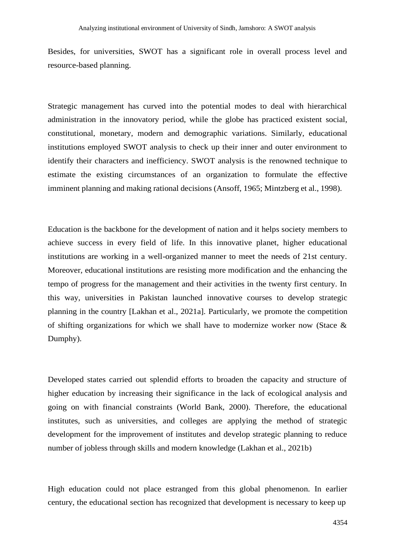Besides, for universities, SWOT has a significant role in overall process level and resource-based planning.

Strategic management has curved into the potential modes to deal with hierarchical administration in the innovatory period, while the globe has practiced existent social, constitutional, monetary, modern and demographic variations. Similarly, educational institutions employed SWOT analysis to check up their inner and outer environment to identify their characters and inefficiency. SWOT analysis is the renowned technique to estimate the existing circumstances of an organization to formulate the effective imminent planning and making rational decisions (Ansoff, 1965; Mintzberg et al., 1998).

Education is the backbone for the development of nation and it helps society members to achieve success in every field of life. In this innovative planet, higher educational institutions are working in a well-organized manner to meet the needs of 21st century. Moreover, educational institutions are resisting more modification and the enhancing the tempo of progress for the management and their activities in the twenty first century. In this way, universities in Pakistan launched innovative courses to develop strategic planning in the country [Lakhan et al., 2021a]. Particularly, we promote the competition of shifting organizations for which we shall have to modernize worker now (Stace  $\&$ Dumphy).

Developed states carried out splendid efforts to broaden the capacity and structure of higher education by increasing their significance in the lack of ecological analysis and going on with financial constraints (World Bank, 2000). Therefore, the educational institutes, such as universities, and colleges are applying the method of strategic development for the improvement of institutes and develop strategic planning to reduce number of jobless through skills and modern knowledge (Lakhan et al., 2021b)

High education could not place estranged from this global phenomenon. In earlier century, the educational section has recognized that development is necessary to keep up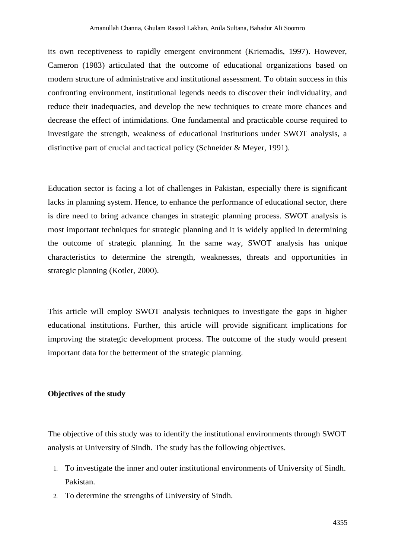its own receptiveness to rapidly emergent environment (Kriemadis, 1997). However, Cameron (1983) articulated that the outcome of educational organizations based on modern structure of administrative and institutional assessment. To obtain success in this confronting environment, institutional legends needs to discover their individuality, and reduce their inadequacies, and develop the new techniques to create more chances and decrease the effect of intimidations. One fundamental and practicable course required to investigate the strength, weakness of educational institutions under SWOT analysis, a distinctive part of crucial and tactical policy (Schneider & Meyer, 1991).

Education sector is facing a lot of challenges in Pakistan, especially there is significant lacks in planning system. Hence, to enhance the performance of educational sector, there is dire need to bring advance changes in strategic planning process. SWOT analysis is most important techniques for strategic planning and it is widely applied in determining the outcome of strategic planning. In the same way, SWOT analysis has unique characteristics to determine the strength, weaknesses, threats and opportunities in strategic planning (Kotler, 2000).

This article will employ SWOT analysis techniques to investigate the gaps in higher educational institutions. Further, this article will provide significant implications for improving the strategic development process. The outcome of the study would present important data for the betterment of the strategic planning.

### **Objectives of the study**

The objective of this study was to identify the institutional environments through SWOT analysis at University of Sindh. The study has the following objectives.

- 1. To investigate the inner and outer institutional environments of University of Sindh. Pakistan.
- 2. To determine the strengths of University of Sindh.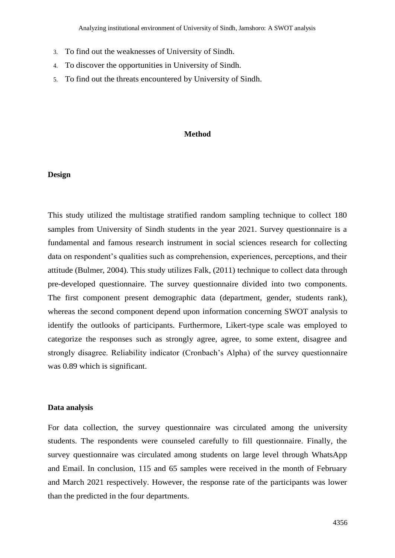- 3. To find out the weaknesses of University of Sindh.
- 4. To discover the opportunities in University of Sindh.
- 5. To find out the threats encountered by University of Sindh.

#### **Method**

### **Design**

This study utilized the multistage stratified random sampling technique to collect 180 samples from University of Sindh students in the year 2021. Survey questionnaire is a fundamental and famous research instrument in social sciences research for collecting data on respondent's qualities such as comprehension, experiences, perceptions, and their attitude (Bulmer, 2004). This study utilizes Falk, (2011) technique to collect data through pre-developed questionnaire. The survey questionnaire divided into two components. The first component present demographic data (department, gender, students rank), whereas the second component depend upon information concerning SWOT analysis to identify the outlooks of participants. Furthermore, Likert-type scale was employed to categorize the responses such as strongly agree, agree, to some extent, disagree and strongly disagree. Reliability indicator (Cronbach's Alpha) of the survey questionnaire was 0.89 which is significant.

#### **Data analysis**

For data collection, the survey questionnaire was circulated among the university students. The respondents were counseled carefully to fill questionnaire. Finally, the survey questionnaire was circulated among students on large level through WhatsApp and Email. In conclusion, 115 and 65 samples were received in the month of February and March 2021 respectively. However, the response rate of the participants was lower than the predicted in the four departments.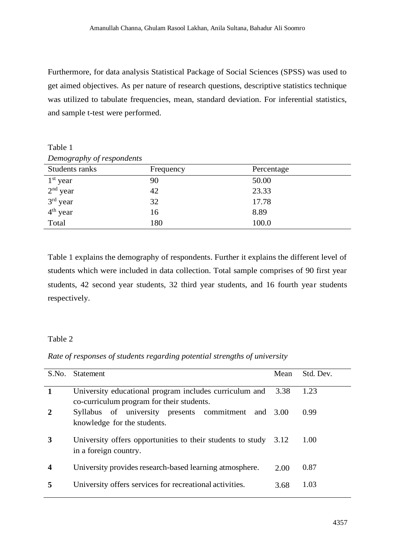Furthermore, for data analysis Statistical Package of Social Sciences (SPSS) was used to get aimed objectives. As per nature of research questions, descriptive statistics technique was utilized to tabulate frequencies, mean, standard deviation. For inferential statistics, and sample t-test were performed.

Table 1 *Demography of respondents*

| $\cup$ $\cup$ $\cup$ |           |            |
|----------------------|-----------|------------|
| Students ranks       | Frequency | Percentage |
| $1st$ year           | 90        | 50.00      |
| $2nd$ year           | 42        | 23.33      |
| $3rd$ year           | 32        | 17.78      |
| 4 <sup>th</sup> year | 16        | 8.89       |
| Total                | 180       | 100.0      |
|                      |           |            |

Table 1 explains the demography of respondents. Further it explains the different level of students which were included in data collection. Total sample comprises of 90 first year students, 42 second year students, 32 third year students, and 16 fourth year students respectively.

# Table 2

# *Rate of responses of students regarding potential strengths of university*

| S.No.            | Statement                                                                                           | Mean | Std. Dev. |
|------------------|-----------------------------------------------------------------------------------------------------|------|-----------|
| 1                | University educational program includes curriculum and<br>co-curriculum program for their students. | 3.38 | 1.23      |
| $\overline{2}$   | Syllabus of university presents commitment<br>and<br>knowledge for the students.                    | 3.00 | 0.99      |
| 3                | University offers opportunities to their students to study<br>in a foreign country.                 | 3.12 | 1.00      |
| $\boldsymbol{4}$ | University provides research-based learning atmosphere.                                             | 2.00 | 0.87      |
| 5                | University offers services for recreational activities.                                             | 3.68 | 1.03      |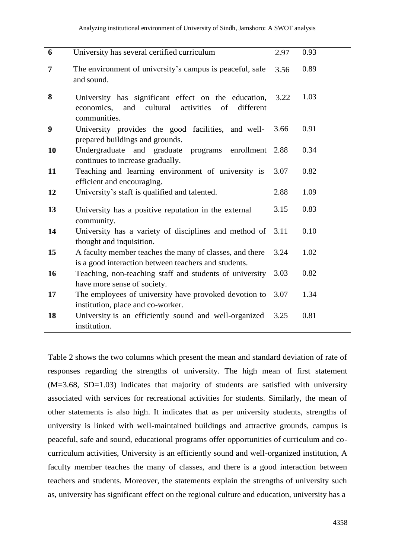| $\boldsymbol{6}$ | University has several certified curriculum                                                                                           | 2.97 | 0.93 |
|------------------|---------------------------------------------------------------------------------------------------------------------------------------|------|------|
| 7                | The environment of university's campus is peaceful, safe<br>and sound.                                                                | 3.56 | 0.89 |
| 8                | University has significant effect on the education,<br>cultural<br>activities<br>of<br>different<br>economics,<br>and<br>communities. | 3.22 | 1.03 |
| 9                | University provides the good facilities, and well-<br>prepared buildings and grounds.                                                 | 3.66 | 0.91 |
| 10               | Undergraduate<br>and graduate<br>programs<br>enrollment<br>continues to increase gradually.                                           | 2.88 | 0.34 |
| 11               | Teaching and learning environment of university is<br>efficient and encouraging.                                                      | 3.07 | 0.82 |
| 12               | University's staff is qualified and talented.                                                                                         | 2.88 | 1.09 |
| 13               | University has a positive reputation in the external<br>community.                                                                    | 3.15 | 0.83 |
| 14               | University has a variety of disciplines and method of<br>thought and inquisition.                                                     | 3.11 | 0.10 |
| 15               | A faculty member teaches the many of classes, and there<br>is a good interaction between teachers and students.                       | 3.24 | 1.02 |
| 16               | Teaching, non-teaching staff and students of university<br>have more sense of society.                                                | 3.03 | 0.82 |
| 17               | The employees of university have provoked devotion to<br>institution, place and co-worker.                                            | 3.07 | 1.34 |
| 18               | University is an efficiently sound and well-organized<br>institution.                                                                 | 3.25 | 0.81 |

Table 2 shows the two columns which present the mean and standard deviation of rate of responses regarding the strengths of university. The high mean of first statement  $(M=3.68, SD=1.03)$  indicates that majority of students are satisfied with university associated with services for recreational activities for students. Similarly, the mean of other statements is also high. It indicates that as per university students, strengths of university is linked with well-maintained buildings and attractive grounds, campus is peaceful, safe and sound, educational programs offer opportunities of curriculum and cocurriculum activities, University is an efficiently sound and well-organized institution, A faculty member teaches the many of classes, and there is a good interaction between teachers and students. Moreover, the statements explain the strengths of university such as, university has significant effect on the regional culture and education, university has a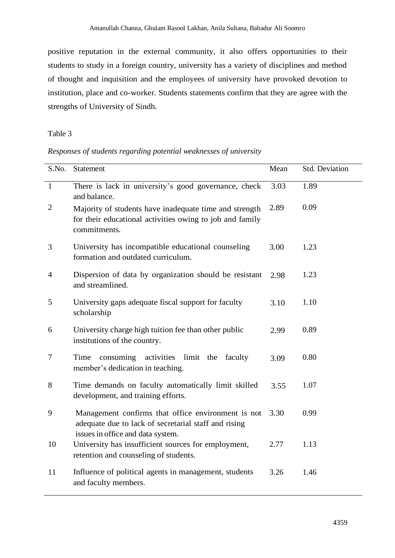positive reputation in the external community, it also offers opportunities to their students to study in a foreign country, university has a variety of disciplines and method of thought and inquisition and the employees of university have provoked devotion to institution, place and co-worker. Students statements confirm that they are agree with the strengths of University of Sindh.

## Table 3

# *Responses of students regarding potential weaknesses of university*

| S.No.          | Statement                                                                                                                                       | Mean | Std. Deviation |
|----------------|-------------------------------------------------------------------------------------------------------------------------------------------------|------|----------------|
| $\mathbf{1}$   | There is lack in university's good governance, check<br>and balance.                                                                            | 3.03 | 1.89           |
| $\overline{2}$ | Majority of students have inadequate time and strength<br>for their educational activities owing to job and family<br>commitments.              | 2.89 | 0.09           |
| 3              | University has incompatible educational counseling<br>formation and outdated curriculum.                                                        | 3.00 | 1.23           |
| $\overline{4}$ | Dispersion of data by organization should be resistant<br>and streamlined.                                                                      | 2.98 | 1.23           |
| 5              | University gaps adequate fiscal support for faculty<br>scholarship                                                                              | 3.10 | 1.10           |
| 6              | University charge high tuition fee than other public<br>institutions of the country.                                                            | 2.99 | 0.89           |
| $\overline{7}$ | activities<br>Time<br>consuming<br>limit the<br>faculty<br>member's dedication in teaching.                                                     | 3.09 | 0.80           |
| 8              | Time demands on faculty automatically limit skilled<br>development, and training efforts.                                                       | 3.55 | 1.07           |
| 9              | Management confirms that office environment is not<br>adequate due to lack of secretarial staff and rising<br>issues in office and data system. | 3.30 | 0.99           |
| 10             | University has insufficient sources for employment,<br>retention and counseling of students.                                                    | 2.77 | 1.13           |
| 11             | Influence of political agents in management, students<br>and faculty members.                                                                   | 3.26 | 1.46           |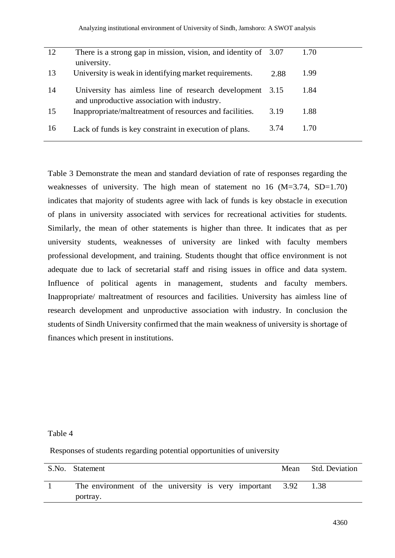| 12 | There is a strong gap in mission, vision, and identity of $3.07$<br>university.                    |      | 1.70 |
|----|----------------------------------------------------------------------------------------------------|------|------|
| 13 | University is weak in identifying market requirements.                                             | 2.88 | 1.99 |
| 14 | University has aimless line of research development<br>and unproductive association with industry. | 3.15 | 1.84 |
| 15 | Inappropriate/maltreatment of resources and facilities.                                            | 3.19 | 1.88 |
| 16 | Lack of funds is key constraint in execution of plans.                                             | 3.74 | 1.70 |

Table 3 Demonstrate the mean and standard deviation of rate of responses regarding the weaknesses of university. The high mean of statement no 16 (M=3.74, SD=1.70) indicates that majority of students agree with lack of funds is key obstacle in execution of plans in university associated with services for recreational activities for students. Similarly, the mean of other statements is higher than three. It indicates that as per university students, weaknesses of university are linked with faculty members professional development, and training. Students thought that office environment is not adequate due to lack of secretarial staff and rising issues in office and data system. Influence of political agents in management, students and faculty members. Inappropriate/ maltreatment of resources and facilities. University has aimless line of research development and unproductive association with industry. In conclusion the students of Sindh University confirmed that the main weakness of university is shortage of finances which present in institutions.

# Table 4

Responses of students regarding potential opportunities of university

| S.No. Statement                                          | Mean Std. Deviation |
|----------------------------------------------------------|---------------------|
| The environment of the university is very important 3.92 |                     |
| portray.                                                 |                     |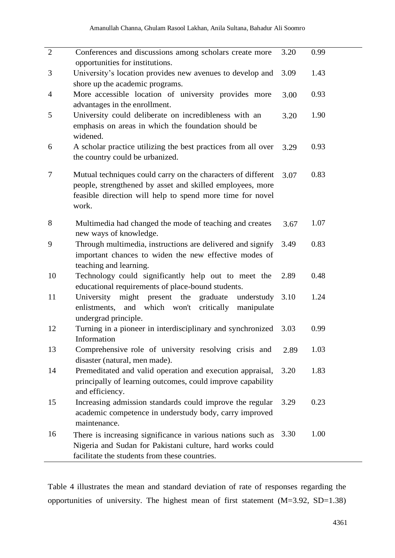| $\overline{2}$ | Conferences and discussions among scholars create more<br>opportunities for institutions.                                                                                                       | 3.20 | 0.99 |
|----------------|-------------------------------------------------------------------------------------------------------------------------------------------------------------------------------------------------|------|------|
| 3              | University's location provides new avenues to develop and<br>shore up the academic programs.                                                                                                    | 3.09 | 1.43 |
| $\overline{4}$ | More accessible location of university provides more<br>advantages in the enrollment.                                                                                                           | 3.00 | 0.93 |
| 5              | University could deliberate on incredibleness with an<br>emphasis on areas in which the foundation should be<br>widened.                                                                        | 3.20 | 1.90 |
| 6              | A scholar practice utilizing the best practices from all over<br>the country could be urbanized.                                                                                                | 3.29 | 0.93 |
| 7              | Mutual techniques could carry on the characters of different<br>people, strengthened by asset and skilled employees, more<br>feasible direction will help to spend more time for novel<br>work. | 3.07 | 0.83 |
| 8              | Multimedia had changed the mode of teaching and creates<br>new ways of knowledge.                                                                                                               | 3.67 | 1.07 |
| 9              | Through multimedia, instructions are delivered and signify<br>important chances to widen the new effective modes of<br>teaching and learning.                                                   | 3.49 | 0.83 |
| 10             | Technology could significantly help out to meet the<br>educational requirements of place-bound students.                                                                                        | 2.89 | 0.48 |
| 11             | University might present the graduate<br>understudy<br>enlistments, and which won't critically<br>manipulate<br>undergrad principle.                                                            | 3.10 | 1.24 |
| 12             | Turning in a pioneer in interdisciplinary and synchronized<br>Information                                                                                                                       | 3.03 | 0.99 |
| 13             | Comprehensive role of university resolving crisis and<br>disaster (natural, men made).                                                                                                          | 2.89 | 1.03 |
| 14             | Premeditated and valid operation and execution appraisal,<br>principally of learning outcomes, could improve capability<br>and efficiency.                                                      | 3.20 | 1.83 |
| 15             | Increasing admission standards could improve the regular<br>academic competence in understudy body, carry improved<br>maintenance.                                                              | 3.29 | 0.23 |
| 16             | There is increasing significance in various nations such as<br>Nigeria and Sudan for Pakistani culture, hard works could<br>facilitate the students from these countries.                       | 3.30 | 1.00 |

Table 4 illustrates the mean and standard deviation of rate of responses regarding the opportunities of university. The highest mean of first statement (M=3.92, SD=1.38)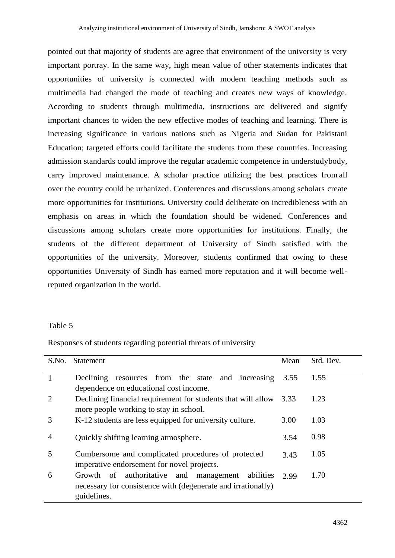pointed out that majority of students are agree that environment of the university is very important portray. In the same way, high mean value of other statements indicates that opportunities of university is connected with modern teaching methods such as multimedia had changed the mode of teaching and creates new ways of knowledge. According to students through multimedia, instructions are delivered and signify important chances to widen the new effective modes of teaching and learning. There is increasing significance in various nations such as Nigeria and Sudan for Pakistani Education; targeted efforts could facilitate the students from these countries. Increasing admission standards could improve the regular academic competence in understudybody, carry improved maintenance. A scholar practice utilizing the best practices from all over the country could be urbanized. Conferences and discussions among scholars create more opportunities for institutions. University could deliberate on incredibleness with an emphasis on areas in which the foundation should be widened. Conferences and discussions among scholars create more opportunities for institutions. Finally, the students of the different department of University of Sindh satisfied with the opportunities of the university. Moreover, students confirmed that owing to these opportunities University of Sindh has earned more reputation and it will become wellreputed organization in the world.

### Table 5

| S.No.          | <b>Statement</b>                                                  | Mean | Std. Dev. |
|----------------|-------------------------------------------------------------------|------|-----------|
|                | resources from the state<br>Declining<br>and increasing           | 3.55 | 1.55      |
|                | dependence on educational cost income.                            |      |           |
| 2              | Declining financial requirement for students that will allow 3.33 |      | 1.23      |
|                | more people working to stay in school.                            |      |           |
| 3              | K-12 students are less equipped for university culture.           | 3.00 | 1.03      |
|                |                                                                   |      |           |
| $\overline{4}$ | Quickly shifting learning atmosphere.                             | 3.54 | 0.98      |
| 5              | Cumbersome and complicated procedures of protected                | 3.43 | 1.05      |
|                | imperative endorsement for novel projects.                        |      |           |
| 6              | Growth of authoritative and<br>management<br>abilities            | 2.99 | 1.70      |
|                | necessary for consistence with (degenerate and irrationally)      |      |           |
|                | guidelines.                                                       |      |           |
|                |                                                                   |      |           |

Responses of students regarding potential threats of university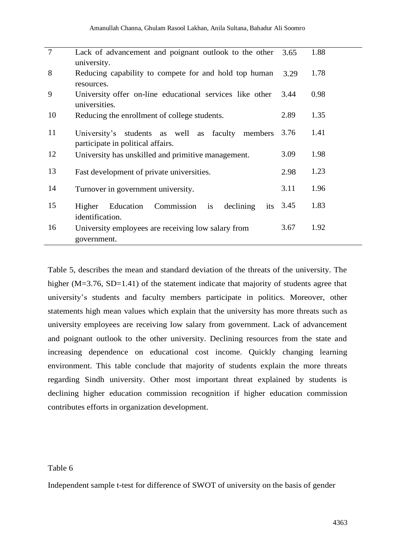| $\overline{7}$ | Lack of advancement and poignant outlook to the other<br>university.                        | 3.65 | 1.88 |
|----------------|---------------------------------------------------------------------------------------------|------|------|
| 8              | Reducing capability to compete for and hold top human<br>resources.                         | 3.29 | 1.78 |
| 9              | University offer on-line educational services like other<br>universities.                   | 3.44 | 0.98 |
| 10             | Reducing the enrollment of college students.                                                | 2.89 | 1.35 |
| 11             | University's<br>students as well as faculty<br>members<br>participate in political affairs. | 3.76 | 1.41 |
| 12             | University has unskilled and primitive management.                                          | 3.09 | 1.98 |
| 13             | Fast development of private universities.                                                   | 2.98 | 1.23 |
| 14             | Turnover in government university.                                                          | 3.11 | 1.96 |
| 15             | Commission<br>Education<br>declining<br>Higher<br>is<br>its<br>identification.              | 3.45 | 1.83 |
| 16             | University employees are receiving low salary from<br>government.                           | 3.67 | 1.92 |

Table 5, describes the mean and standard deviation of the threats of the university. The higher (M=3.76, SD=1.41) of the statement indicate that majority of students agree that university's students and faculty members participate in politics. Moreover, other statements high mean values which explain that the university has more threats such as university employees are receiving low salary from government. Lack of advancement and poignant outlook to the other university. Declining resources from the state and increasing dependence on educational cost income. Quickly changing learning environment. This table conclude that majority of students explain the more threats regarding Sindh university. Other most important threat explained by students is declining higher education commission recognition if higher education commission contributes efforts in organization development.

## Table 6

Independent sample t-test for difference of SWOT of university on the basis of gender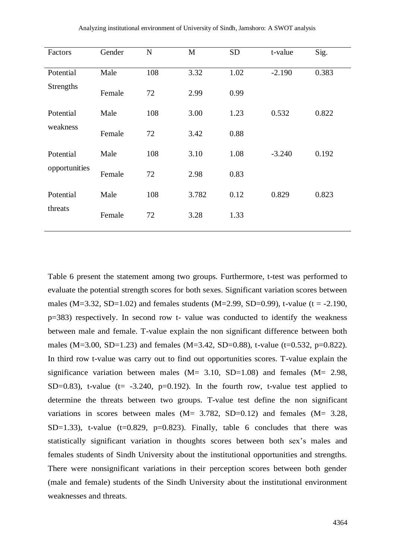| Factors       | Gender | ${\bf N}$ | M     | <b>SD</b> | t-value  | Sig.  |
|---------------|--------|-----------|-------|-----------|----------|-------|
| Potential     | Male   | 108       | 3.32  | 1.02      | $-2.190$ | 0.383 |
| Strengths     | Female | 72        | 2.99  | 0.99      |          |       |
| Potential     | Male   | 108       | 3.00  | 1.23      | 0.532    | 0.822 |
| weakness      | Female | 72        | 3.42  | 0.88      |          |       |
| Potential     | Male   | 108       | 3.10  | 1.08      | $-3.240$ | 0.192 |
| opportunities | Female | 72        | 2.98  | 0.83      |          |       |
| Potential     | Male   | 108       | 3.782 | 0.12      | 0.829    | 0.823 |
| threats       | Female | 72        | 3.28  | 1.33      |          |       |

Table 6 present the statement among two groups. Furthermore, t-test was performed to evaluate the potential strength scores for both sexes. Significant variation scores between males (M=3.32, SD=1.02) and females students (M=2.99, SD=0.99), t-value (t = -2.190, p=383) respectively. In second row t- value was conducted to identify the weakness between male and female. T-value explain the non significant difference between both males (M=3.00, SD=1.23) and females (M=3.42, SD=0.88), t-value (t=0.532, p=0.822). In third row t-value was carry out to find out opportunities scores. T-value explain the significance variation between males  $(M= 3.10, SD=1.08)$  and females  $(M= 2.98,$ SD=0.83), t-value ( $t=-3.240$ ,  $p=0.192$ ). In the fourth row, t-value test applied to determine the threats between two groups. T-value test define the non significant variations in scores between males (M= 3.782, SD=0.12) and females (M= 3.28, SD=1.33), t-value (t=0.829, p=0.823). Finally, table 6 concludes that there was statistically significant variation in thoughts scores between both sex's males and females students of Sindh University about the institutional opportunities and strengths. There were nonsignificant variations in their perception scores between both gender (male and female) students of the Sindh University about the institutional environment weaknesses and threats.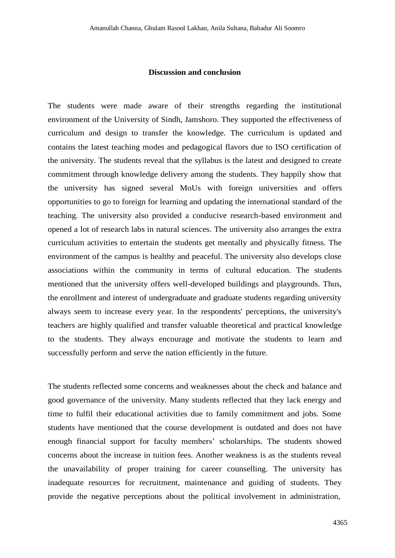### **Discussion and conclusion**

The students were made aware of their strengths regarding the institutional environment of the University of Sindh, Jamshoro. They supported the effectiveness of curriculum and design to transfer the knowledge. The curriculum is updated and contains the latest teaching modes and pedagogical flavors due to ISO certification of the university. The students reveal that the syllabus is the latest and designed to create commitment through knowledge delivery among the students. They happily show that the university has signed several MoUs with foreign universities and offers opportunities to go to foreign for learning and updating the international standard of the teaching. The university also provided a conducive research-based environment and opened a lot of research labs in natural sciences. The university also arranges the extra curriculum activities to entertain the students get mentally and physically fitness. The environment of the campus is healthy and peaceful. The university also develops close associations within the community in terms of cultural education. The students mentioned that the university offers well-developed buildings and playgrounds. Thus, the enrollment and interest of undergraduate and graduate students regarding university always seem to increase every year. In the respondents' perceptions, the university's teachers are highly qualified and transfer valuable theoretical and practical knowledge to the students. They always encourage and motivate the students to learn and successfully perform and serve the nation efficiently in the future.

The students reflected some concerns and weaknesses about the check and balance and good governance of the university. Many students reflected that they lack energy and time to fulfil their educational activities due to family commitment and jobs. Some students have mentioned that the course development is outdated and does not have enough financial support for faculty members' scholarships. The students showed concerns about the increase in tuition fees. Another weakness is as the students reveal the unavailability of proper training for career counselling. The university has inadequate resources for recruitment, maintenance and guiding of students. They provide the negative perceptions about the political involvement in administration,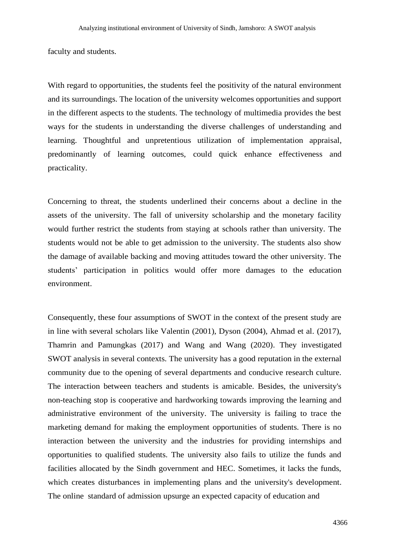faculty and students.

With regard to opportunities, the students feel the positivity of the natural environment and its surroundings. The location of the university welcomes opportunities and support in the different aspects to the students. The technology of multimedia provides the best ways for the students in understanding the diverse challenges of understanding and learning. Thoughtful and unpretentious utilization of implementation appraisal, predominantly of learning outcomes, could quick enhance effectiveness and practicality.

Concerning to threat, the students underlined their concerns about a decline in the assets of the university. The fall of university scholarship and the monetary facility would further restrict the students from staying at schools rather than university. The students would not be able to get admission to the university. The students also show the damage of available backing and moving attitudes toward the other university. The students' participation in politics would offer more damages to the education environment.

Consequently, these four assumptions of SWOT in the context of the present study are in line with several scholars like Valentin (2001), Dyson (2004), Ahmad et al. (2017), Thamrin and Pamungkas (2017) and Wang and Wang (2020). They investigated SWOT analysis in several contexts. The university has a good reputation in the external community due to the opening of several departments and conducive research culture. The interaction between teachers and students is amicable. Besides, the university's non-teaching stop is cooperative and hardworking towards improving the learning and administrative environment of the university. The university is failing to trace the marketing demand for making the employment opportunities of students. There is no interaction between the university and the industries for providing internships and opportunities to qualified students. The university also fails to utilize the funds and facilities allocated by the Sindh government and HEC. Sometimes, it lacks the funds, which creates disturbances in implementing plans and the university's development. The online standard of admission upsurge an expected capacity of education and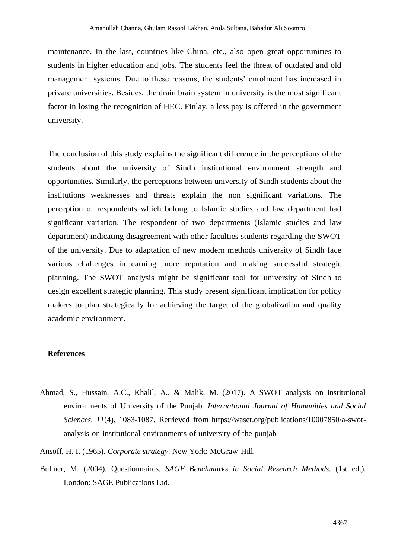maintenance. In the last, countries like China, etc., also open great opportunities to students in higher education and jobs. The students feel the threat of outdated and old management systems. Due to these reasons, the students' enrolment has increased in private universities. Besides, the drain brain system in university is the most significant factor in losing the recognition of HEC. Finlay, a less pay is offered in the government university.

The conclusion of this study explains the significant difference in the perceptions of the students about the university of Sindh institutional environment strength and opportunities. Similarly, the perceptions between university of Sindh students about the institutions weaknesses and threats explain the non significant variations. The perception of respondents which belong to Islamic studies and law department had significant variation. The respondent of two departments (Islamic studies and law department) indicating disagreement with other faculties students regarding the SWOT of the university. Due to adaptation of new modern methods university of Sindh face various challenges in earning more reputation and making successful strategic planning. The SWOT analysis might be significant tool for university of Sindh to design excellent strategic planning. This study present significant implication for policy makers to plan strategically for achieving the target of the globalization and quality academic environment.

### **References**

- Ahmad, S., Hussain, A.C., Khalil, A., & Malik, M. (2017). A SWOT analysis on institutional environments of University of the Punjab. *International Journal of Humanities and Social Sciences, 11*(4), 1083-1087. Retrieved from https://waset.org/publications/10007850/a-swotanalysis-on-institutional-environments-of-university-of-the-punjab
- Ansoff, H. I. (1965). *Corporate strategy*. New York: McGraw-Hill.
- Bulmer, M. (2004). Questionnaires, *SAGE Benchmarks in Social Research Methods.* (1st ed.). London: SAGE Publications Ltd.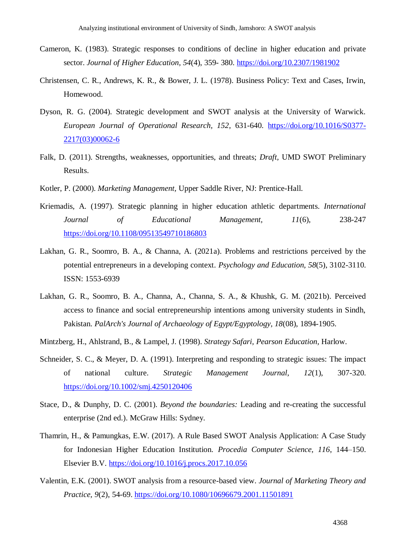- Cameron, K. (1983). Strategic responses to conditions of decline in higher education and private sector. *Journal of Higher Education, 54*(4), 359- 380. <https://doi.org/10.2307/1981902>
- Christensen, C. R., Andrews, K. R., & Bower, J. L. (1978). Business Policy: Text and Cases, Irwin, Homewood.
- Dyson, R. G. (2004). Strategic development and SWOT analysis at the University of Warwick. *European Journal of Operational Research, 152*, 631-640. [https://doi.org/10.1016/S0377-](https://doi.org/10.1016/S0377-2217(03)00062-6) [2217\(03\)00062-6](https://doi.org/10.1016/S0377-2217(03)00062-6)
- Falk, D. (2011). Strengths, weaknesses, opportunities, and threats; *Draft,* UMD SWOT Preliminary Results.
- Kotler, P. (2000). *Marketing Management,* Upper Saddle River, NJ: Prentice-Hall.
- Kriemadis, A. (1997). Strategic planning in higher education athletic departments. *International Journal of Educational Management, 11*(6), 238-247 <https://doi.org/10.1108/09513549710186803>
- Lakhan, G. R., Soomro, B. A., & Channa, A. (2021a). Problems and restrictions perceived by the potential entrepreneurs in a developing context. *Psychology and Education, 58*(5), 3102-3110. ISSN: 1553-6939
- Lakhan, G. R., Soomro, B. A., Channa, A., Channa, S. A., & Khushk, G. M. (2021b). Perceived access to finance and social entrepreneurship intentions among university students in Sindh, Pakistan. *PalArch's Journal of Archaeology of Egypt/Egyptology, 18*(08), 1894-1905.
- Mintzberg, H., Ahlstrand, B., & Lampel, J. (1998). *Strategy Safari, Pearson Education,* Harlow.
- Schneider, S. C., & Meyer, D. A. (1991). Interpreting and responding to strategic issues: The impact of national culture. *Strategic Management Journal*, *12*(1), 307-320. <https://doi.org/10.1002/smj.4250120406>
- Stace, D., & Dunphy, D. C. (2001). *Beyond the boundaries:* Leading and re-creating the successful enterprise (2nd ed.). McGraw Hills: Sydney.
- Thamrin, H., & Pamungkas, E.W. (2017). A Rule Based SWOT Analysis Application: A Case Study for Indonesian Higher Education Institution. *Procedia Computer Science, 116*, 144–150. Elsevier B.V.<https://doi.org/10.1016/j.procs.2017.10.056>
- Valentin, E.K. (2001). SWOT analysis from a resource-based view. *Journal of Marketing Theory and Practice, 9*(2), 54-69. <https://doi.org/10.1080/10696679.2001.11501891>